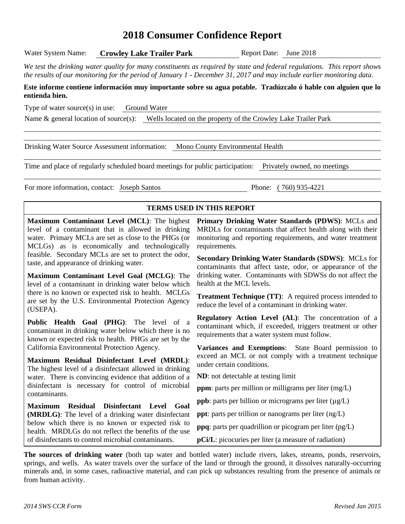# **2018 Consumer Confidence Report**

*We test the drinking water quality for many constituents as required by state and federal regulations. This report shows the results of our monitoring for the period of January 1 - December 31, 2017 and may include earlier monitoring data.*

#### **Este informe contiene información muy importante sobre su agua potable. Tradúzcalo ó hable con alguien que lo entienda bien.**

Type of water source(s) in use: Ground Water

Name & general location of source(s): Wells located on the property of the Crowley Lake Trailer Park

Drinking Water Source Assessment information: Mono County Environmental Health

Time and place of regularly scheduled board meetings for public participation: Privately owned, no meetings

For more information, contact: Joseph Santos Phone: ( 760) 935-4221

#### **TERMS USED IN THIS REPORT**

**Maximum Contaminant Level (MCL)**: The highest level of a contaminant that is allowed in drinking water. Primary MCLs are set as close to the PHGs (or MCLGs) as is economically and technologically feasible. Secondary MCLs are set to protect the odor, taste, and appearance of drinking water.

**Maximum Contaminant Level Goal (MCLG)**: The level of a contaminant in drinking water below which there is no known or expected risk to health. MCLGs are set by the U.S. Environmental Protection Agency (USEPA).

**Public Health Goal (PHG)**: The level of a contaminant in drinking water below which there is no known or expected risk to health. PHGs are set by the California Environmental Protection Agency.

**Maximum Residual Disinfectant Level (MRDL)**: The highest level of a disinfectant allowed in drinking water. There is convincing evidence that addition of a disinfectant is necessary for control of microbial contaminants.

**Maximum Residual Disinfectant Level Goal (MRDLG)**: The level of a drinking water disinfectant below which there is no known or expected risk to health. MRDLGs do not reflect the benefits of the use of disinfectants to control microbial contaminants.

**Primary Drinking Water Standards (PDWS)**: MCLs and MRDLs for contaminants that affect health along with their monitoring and reporting requirements, and water treatment requirements.

**Secondary Drinking Water Standards (SDWS)**:MCLs for contaminants that affect taste, odor, or appearance of the drinking water. Contaminants with SDWSs do not affect the health at the MCL levels.

**Treatment Technique (TT)**: A required process intended to reduce the level of a contaminant in drinking water.

**Regulatory Action Level (AL)**: The concentration of a contaminant which, if exceeded, triggers treatment or other requirements that a water system must follow.

**Variances and Exemptions**: State Board permission to exceed an MCL or not comply with a treatment technique under certain conditions.

**ND**: not detectable at testing limit

**ppm**: parts per million or milligrams per liter (mg/L)

**ppb**: parts per billion or micrograms per liter ( $\mu$ g/L)

**ppt**: parts per trillion or nanograms per liter (ng/L)

**ppq**: parts per quadrillion or picogram per liter (pg/L)

**pCi/L**: picocuries per liter (a measure of radiation)

**The sources of drinking water** (both tap water and bottled water) include rivers, lakes, streams, ponds, reservoirs, springs, and wells. As water travels over the surface of the land or through the ground, it dissolves naturally-occurring minerals and, in some cases, radioactive material, and can pick up substances resulting from the presence of animals or from human activity.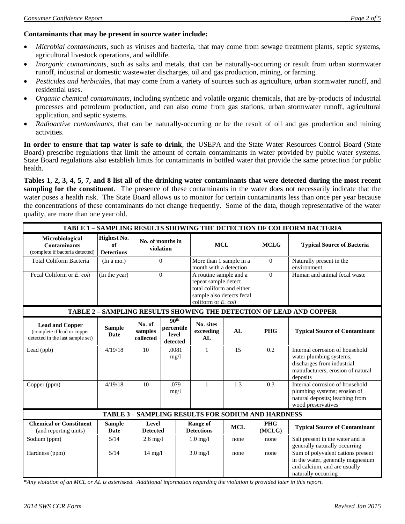#### **Contaminants that may be present in source water include:**

- *Microbial contaminants*, such as viruses and bacteria, that may come from sewage treatment plants, septic systems, agricultural livestock operations, and wildlife.
- *Inorganic contaminants*, such as salts and metals, that can be naturally-occurring or result from urban stormwater runoff, industrial or domestic wastewater discharges, oil and gas production, mining, or farming.
- *Pesticides and herbicides*, that may come from a variety of sources such as agriculture, urban stormwater runoff, and residential uses.
- *Organic chemical contaminants*, including synthetic and volatile organic chemicals, that are by-products of industrial processes and petroleum production, and can also come from gas stations, urban stormwater runoff, agricultural application, and septic systems.
- *Radioactive contaminants*, that can be naturally-occurring or be the result of oil and gas production and mining activities.

**In order to ensure that tap water is safe to drink**, the USEPA and the State Water Resources Control Board (State Board) prescribe regulations that limit the amount of certain contaminants in water provided by public water systems. State Board regulations also establish limits for contaminants in bottled water that provide the same protection for public health.

**Tables 1, 2, 3, 4, 5, 7, and 8 list all of the drinking water contaminants that were detected during the most recent sampling for the constituent**. The presence of these contaminants in the water does not necessarily indicate that the water poses a health risk. The State Board allows us to monitor for certain contaminants less than once per year because the concentrations of these contaminants do not change frequently. Some of the data, though representative of the water quality, are more than one year old.

| TABLE 1 - SAMPLING RESULTS SHOWING THE DETECTION OF COLIFORM BACTERIA                     |                                        |                                |                                                           |                                                                                                                                 |            |                                                           |                                                                                                                                           |                              |
|-------------------------------------------------------------------------------------------|----------------------------------------|--------------------------------|-----------------------------------------------------------|---------------------------------------------------------------------------------------------------------------------------------|------------|-----------------------------------------------------------|-------------------------------------------------------------------------------------------------------------------------------------------|------------------------------|
| Microbiological<br><b>Contaminants</b><br>(complete if bacteria detected)                 | Highest No.<br>of<br><b>Detections</b> | No. of months in<br>violation  |                                                           | <b>MCL</b>                                                                                                                      |            | <b>MCLG</b>                                               | <b>Typical Source of Bacteria</b>                                                                                                         |                              |
| <b>Total Coliform Bacteria</b>                                                            | (In a mo.)                             | $\Omega$                       |                                                           | More than 1 sample in a<br>month with a detection                                                                               |            | $\Omega$                                                  | Naturally present in the<br>environment                                                                                                   |                              |
| Fecal Coliform or E. coli                                                                 | (In the year)                          | $\Omega$                       |                                                           | A routine sample and a<br>repeat sample detect<br>total coliform and either<br>sample also detects fecal<br>coliform or E. coli |            |                                                           | $\theta$                                                                                                                                  | Human and animal fecal waste |
|                                                                                           |                                        |                                |                                                           |                                                                                                                                 |            |                                                           | TABLE 2 - SAMPLING RESULTS SHOWING THE DETECTION OF LEAD AND COPPER                                                                       |                              |
| <b>Lead and Copper</b><br>(complete if lead or copper<br>detected in the last sample set) | <b>Sample</b><br><b>Date</b>           | No. of<br>samples<br>collected | 90 <sup>th</sup><br>percentile<br>level<br>$\rm detected$ | No. sites<br>exceeding<br>AL                                                                                                    | AI         | <b>PHG</b>                                                | <b>Typical Source of Contaminant</b>                                                                                                      |                              |
| Lead (ppb)                                                                                | 4/19/18                                | 10                             | .0081<br>mg/1                                             | 1                                                                                                                               | 15         | 0.2                                                       | Internal corrosion of household<br>water plumbing systems;<br>discharges from industrial<br>manufacturers; erosion of natural<br>deposits |                              |
| Copper (ppm)                                                                              | 4/19/18                                | 10                             | .079<br>mg/1                                              | $\mathbf{1}$                                                                                                                    | 1.3        | 0.3                                                       | Internal corrosion of household<br>plumbing systems; erosion of<br>natural deposits; leaching from<br>wood preservatives                  |                              |
|                                                                                           |                                        |                                |                                                           |                                                                                                                                 |            | <b>TABLE 3 - SAMPLING RESULTS FOR SODIUM AND HARDNESS</b> |                                                                                                                                           |                              |
| <b>Chemical or Constituent</b><br>(and reporting units)                                   | <b>Sample</b><br>Date                  | Level<br><b>Detected</b>       |                                                           | <b>Range of</b><br><b>Detections</b>                                                                                            | <b>MCL</b> | <b>PHG</b><br>(MCLG)                                      | <b>Typical Source of Contaminant</b>                                                                                                      |                              |
| Sodium (ppm)                                                                              | 5/14                                   | $2.6$ mg/l                     |                                                           | $1.0$ mg/l                                                                                                                      | none       | none                                                      | Salt present in the water and is<br>generally naturally occurring                                                                         |                              |
| Hardness (ppm)                                                                            | 5/14                                   | $14$ mg/l                      |                                                           | $3.0$ mg/l                                                                                                                      | none       | none                                                      | Sum of polyvalent cations present<br>in the water, generally magnesium<br>and calcium, and are usually<br>naturally occurring             |                              |

**\****Any violation of an MCL or AL is asterisked. Additional information regarding the violation is provided later in this report.*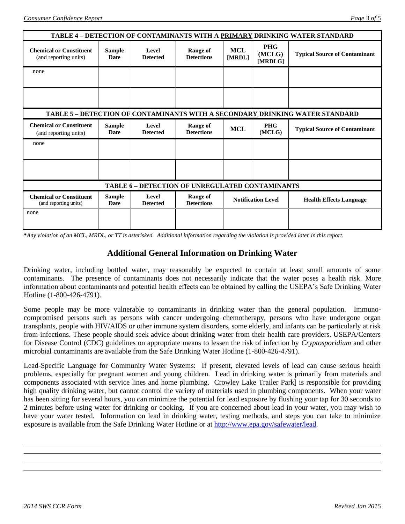| TABLE 4 – DETECTION OF CONTAMINANTS WITH A PRIMARY DRINKING WATER STANDARD |                                                                              |                          |                                      |                           |                                 |                                      |  |  |
|----------------------------------------------------------------------------|------------------------------------------------------------------------------|--------------------------|--------------------------------------|---------------------------|---------------------------------|--------------------------------------|--|--|
| <b>Chemical or Constituent</b><br>(and reporting units)                    | <b>Sample</b><br>Date                                                        | Level<br><b>Detected</b> | <b>Range of</b><br><b>Detections</b> | <b>MCL</b><br>[MRDL]      | <b>PHG</b><br>(MCLG)<br>[MRDLG] | <b>Typical Source of Contaminant</b> |  |  |
| none                                                                       |                                                                              |                          |                                      |                           |                                 |                                      |  |  |
|                                                                            |                                                                              |                          |                                      |                           |                                 |                                      |  |  |
|                                                                            |                                                                              |                          |                                      |                           |                                 |                                      |  |  |
|                                                                            | TABLE 5 - DETECTION OF CONTAMINANTS WITH A SECONDARY DRINKING WATER STANDARD |                          |                                      |                           |                                 |                                      |  |  |
| <b>Chemical or Constituent</b><br>(and reporting units)                    | <b>Sample</b><br>Date                                                        | Level<br><b>Detected</b> | <b>Range of</b><br><b>Detections</b> | <b>MCL</b>                | <b>PHG</b><br>(MCLG)            | <b>Typical Source of Contaminant</b> |  |  |
| none                                                                       |                                                                              |                          |                                      |                           |                                 |                                      |  |  |
|                                                                            |                                                                              |                          |                                      |                           |                                 |                                      |  |  |
|                                                                            |                                                                              |                          |                                      |                           |                                 |                                      |  |  |
| TABLE 6 - DETECTION OF UNREGULATED CONTAMINANTS                            |                                                                              |                          |                                      |                           |                                 |                                      |  |  |
| <b>Chemical or Constituent</b><br>(and reporting units)                    | <b>Sample</b><br>Date                                                        | Level<br><b>Detected</b> | Range of<br><b>Detections</b>        | <b>Notification Level</b> |                                 | <b>Health Effects Language</b>       |  |  |
| none                                                                       |                                                                              |                          |                                      |                           |                                 |                                      |  |  |
|                                                                            |                                                                              |                          |                                      |                           |                                 |                                      |  |  |

**\****Any violation of an MCL, MRDL, or TT is asterisked. Additional information regarding the violation is provided later in this report.*

#### **Additional General Information on Drinking Water**

Drinking water, including bottled water, may reasonably be expected to contain at least small amounts of some contaminants. The presence of contaminants does not necessarily indicate that the water poses a health risk. More information about contaminants and potential health effects can be obtained by calling the USEPA's Safe Drinking Water Hotline (1-800-426-4791).

Some people may be more vulnerable to contaminants in drinking water than the general population. Immunocompromised persons such as persons with cancer undergoing chemotherapy, persons who have undergone organ transplants, people with HIV/AIDS or other immune system disorders, some elderly, and infants can be particularly at risk from infections. These people should seek advice about drinking water from their health care providers. USEPA/Centers for Disease Control (CDC) guidelines on appropriate means to lessen the risk of infection by *Cryptosporidium* and other microbial contaminants are available from the Safe Drinking Water Hotline (1-800-426-4791).

Lead-Specific Language for Community Water Systems: If present, elevated levels of lead can cause serious health problems, especially for pregnant women and young children. Lead in drinking water is primarily from materials and components associated with service lines and home plumbing. Crowley Lake Trailer Park] is responsible for providing high quality drinking water, but cannot control the variety of materials used in plumbing components. When your water has been sitting for several hours, you can minimize the potential for lead exposure by flushing your tap for 30 seconds to 2 minutes before using water for drinking or cooking. If you are concerned about lead in your water, you may wish to have your water tested. Information on lead in drinking water, testing methods, and steps you can take to minimize exposure is available from the Safe Drinking Water Hotline or at [http://www.epa.gov/safewater/lead.](http://www.epa.gov/safewater/lead)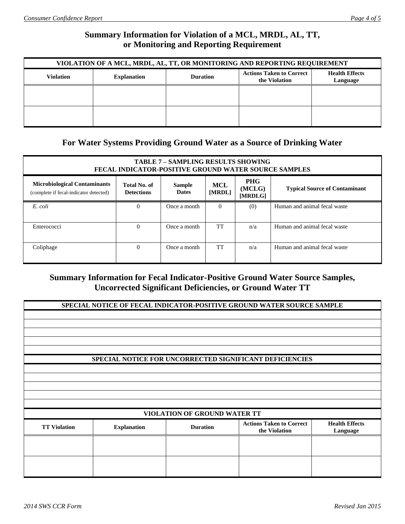# **Summary Information for Violation of a MCL, MRDL, AL, TT, or Monitoring and Reporting Requirement**

| VIOLATION OF A MCL, MRDL, AL, TT, OR MONITORING AND REPORTING REQUIREMENT |                    |                                   |  |  |  |  |  |
|---------------------------------------------------------------------------|--------------------|-----------------------------------|--|--|--|--|--|
| <b>Violation</b>                                                          | <b>Explanation</b> | <b>Health Effects</b><br>Language |  |  |  |  |  |
|                                                                           |                    |                                   |  |  |  |  |  |
|                                                                           |                    |                                   |  |  |  |  |  |
|                                                                           |                    |                                   |  |  |  |  |  |
|                                                                           |                    |                                   |  |  |  |  |  |

### **For Water Systems Providing Ground Water as a Source of Drinking Water**

| <b>TABLE 7 - SAMPLING RESULTS SHOWING</b><br><b>FECAL INDICATOR-POSITIVE GROUND WATER SOURCE SAMPLES</b>                                                                                                                                               |          |              |          |     |                              |  |  |  |
|--------------------------------------------------------------------------------------------------------------------------------------------------------------------------------------------------------------------------------------------------------|----------|--------------|----------|-----|------------------------------|--|--|--|
| <b>PHG</b><br><b>Microbiological Contaminants</b><br>Total No. of<br><b>MCL</b><br><b>Sample</b><br>(MCLG)<br><b>Typical Source of Contaminant</b><br>[MRDL]<br><b>Dates</b><br><b>Detections</b><br>(complete if fecal-indicator detected)<br>[MRDLG] |          |              |          |     |                              |  |  |  |
| E. coli                                                                                                                                                                                                                                                | 0        | Once a month | $\Omega$ | (0) | Human and animal fecal waste |  |  |  |
| Enterococci                                                                                                                                                                                                                                            | $\theta$ | Once a month | TT       | n/a | Human and animal fecal waste |  |  |  |
| Coliphage                                                                                                                                                                                                                                              | $\theta$ | Once a month | TT       | n/a | Human and animal fecal waste |  |  |  |

## **Summary Information for Fecal Indicator-Positive Ground Water Source Samples, Uncorrected Significant Deficiencies, or Ground Water TT**

| SPECIAL NOTICE OF FECAL INDICATOR-POSITIVE GROUND WATER SOURCE SAMPLE |                                     |                 |                                                         |                                   |  |  |  |
|-----------------------------------------------------------------------|-------------------------------------|-----------------|---------------------------------------------------------|-----------------------------------|--|--|--|
|                                                                       |                                     |                 |                                                         |                                   |  |  |  |
|                                                                       |                                     |                 |                                                         |                                   |  |  |  |
|                                                                       |                                     |                 |                                                         |                                   |  |  |  |
|                                                                       |                                     |                 |                                                         |                                   |  |  |  |
|                                                                       |                                     |                 |                                                         |                                   |  |  |  |
|                                                                       |                                     |                 | SPECIAL NOTICE FOR UNCORRECTED SIGNIFICANT DEFICIENCIES |                                   |  |  |  |
|                                                                       |                                     |                 |                                                         |                                   |  |  |  |
|                                                                       |                                     |                 |                                                         |                                   |  |  |  |
|                                                                       |                                     |                 |                                                         |                                   |  |  |  |
|                                                                       |                                     |                 |                                                         |                                   |  |  |  |
|                                                                       |                                     |                 |                                                         |                                   |  |  |  |
|                                                                       | <b>VIOLATION OF GROUND WATER TT</b> |                 |                                                         |                                   |  |  |  |
| <b>TT Violation</b>                                                   | <b>Explanation</b>                  | <b>Duration</b> | <b>Actions Taken to Correct</b><br>the Violation        | <b>Health Effects</b><br>Language |  |  |  |
|                                                                       |                                     |                 |                                                         |                                   |  |  |  |
|                                                                       |                                     |                 |                                                         |                                   |  |  |  |
|                                                                       |                                     |                 |                                                         |                                   |  |  |  |
|                                                                       |                                     |                 |                                                         |                                   |  |  |  |